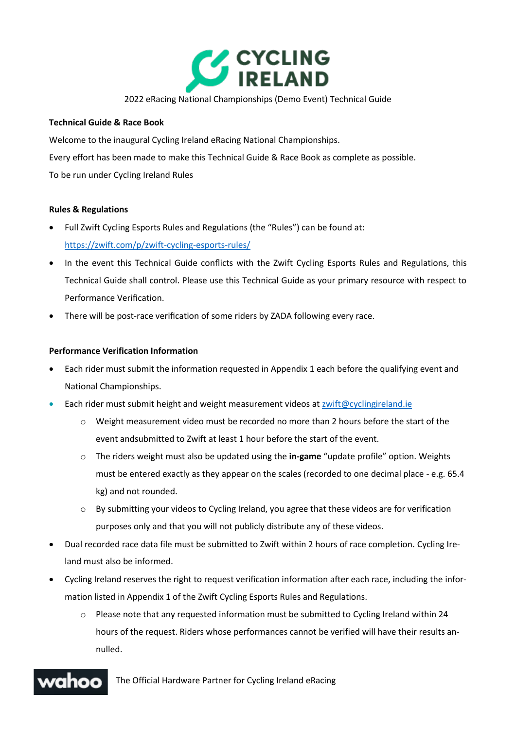

## 2022 eRacing National Championships (Demo Event) Technical Guide

## **Technical Guide & Race Book**

Welcome to the inaugural Cycling Ireland eRacing National Championships. Every effort has been made to make this Technical Guide & Race Book as complete as possible. To be run under Cycling Ireland Rules

## **Rules & Regulations**

- Full Zwift Cycling Esports Rules and Regulations (the "Rules") can be found at: <https://zwift.com/p/zwift-cycling-esports-rules/>
- In the event this Technical Guide conflicts with the Zwift Cycling Esports Rules and Regulations, this Technical Guide shall control. Please use this Technical Guide as your primary resource with respect to Performance Verification.
- There will be post-race verification of some riders by ZADA following every race.

## **Performance Verification Information**

- Each rider must submit the information requested in Appendix 1 each before the qualifying event and National Championships.
- Each rider must submit height and weight measurement videos at [zwift@cyclingireland.ie](mailto:zwift@cyclingireland.ie)
	- o Weight measurement video must be recorded no more than 2 hours before the start of the event andsubmitted to Zwift at least 1 hour before the start of the event.
	- o The riders weight must also be updated using the **in-game** "update profile" option. Weights must be entered exactly as they appear on the scales (recorded to one decimal place - e.g. 65.4 kg) and not rounded.
	- $\circ$  By submitting your videos to Cycling Ireland, you agree that these videos are for verification purposes only and that you will not publicly distribute any of these videos.
- Dual recorded race data file must be submitted to Zwift within 2 hours of race completion. Cycling Ireland must also be informed.
- Cycling Ireland reserves the right to request verification information after each race, including the information listed in Appendix 1 of the Zwift Cycling Esports Rules and Regulations.
	- $\circ$  Please note that any requested information must be submitted to Cycling Ireland within 24 hours of the request. Riders whose performances cannot be verified will have their results annulled.

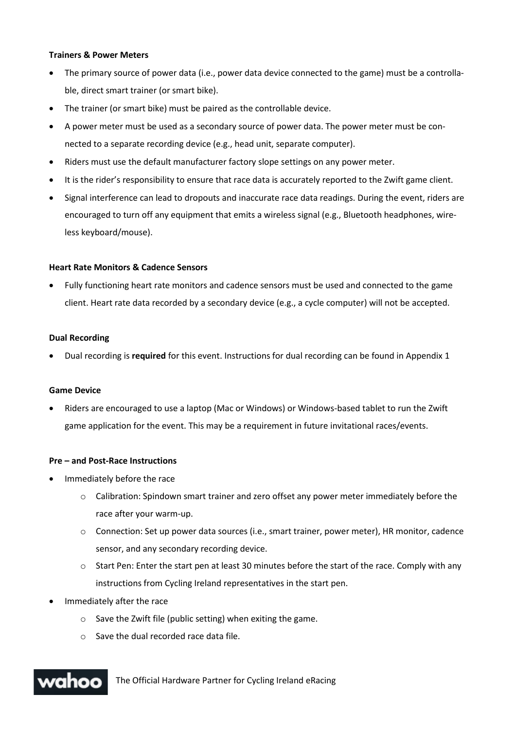#### **Trainers & Power Meters**

- The primary source of power data (i.e., power data device connected to the game) must be a controllable, direct smart trainer (or smart bike).
- The trainer (or smart bike) must be paired as the controllable device.
- A power meter must be used as a secondary source of power data. The power meter must be connected to a separate recording device (e.g., head unit, separate computer).
- Riders must use the default manufacturer factory slope settings on any power meter.
- It is the rider's responsibility to ensure that race data is accurately reported to the Zwift game client.
- Signal interference can lead to dropouts and inaccurate race data readings. During the event, riders are encouraged to turn off any equipment that emits a wireless signal (e.g., Bluetooth headphones, wireless keyboard/mouse).

#### **Heart Rate Monitors & Cadence Sensors**

• Fully functioning heart rate monitors and cadence sensors must be used and connected to the game client. Heart rate data recorded by a secondary device (e.g., a cycle computer) will not be accepted.

#### **Dual Recording**

• Dual recording is **required** for this event. Instructions for dual recording can be found in Appendix 1

#### **Game Device**

• Riders are encouraged to use a laptop (Mac or Windows) or Windows-based tablet to run the Zwift game application for the event. This may be a requirement in future invitational races/events.

## **Pre – and Post-Race Instructions**

- Immediately before the race
	- o Calibration: Spindown smart trainer and zero offset any power meter immediately before the race after your warm-up.
	- o Connection: Set up power data sources (i.e., smart trainer, power meter), HR monitor, cadence sensor, and any secondary recording device.
	- o Start Pen: Enter the start pen at least 30 minutes before the start of the race. Comply with any instructions from Cycling Ireland representatives in the start pen.
- Immediately after the race
	- o Save the Zwift file (public setting) when exiting the game.
	- o Save the dual recorded race data file.

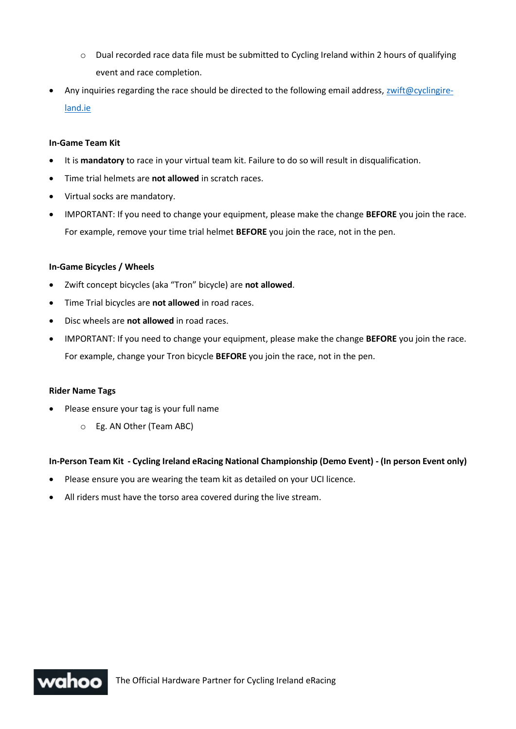- $\circ$  Dual recorded race data file must be submitted to Cycling Ireland within 2 hours of qualifying event and race completion.
- Any inquiries regarding the race should be directed to the following email address, [zwift@cyclingire](mailto:zwift@cyclingireland.ie)[land.ie](mailto:zwift@cyclingireland.ie)

# **In-Game Team Kit**

- It is **mandatory** to race in your virtual team kit. Failure to do so will result in disqualification.
- Time trial helmets are **not allowed** in scratch races.
- Virtual socks are mandatory.
- IMPORTANT: If you need to change your equipment, please make the change **BEFORE** you join the race. For example, remove your time trial helmet **BEFORE** you join the race, not in the pen.

## **In-Game Bicycles / Wheels**

- Zwift concept bicycles (aka "Tron" bicycle) are **not allowed**.
- Time Trial bicycles are **not allowed** in road races.
- Disc wheels are **not allowed** in road races.
- IMPORTANT: If you need to change your equipment, please make the change **BEFORE** you join the race. For example, change your Tron bicycle **BEFORE** you join the race, not in the pen.

## **Rider Name Tags**

- Please ensure your tag is your full name
	- o Eg. AN Other (Team ABC)

## **In-Person Team Kit - Cycling Ireland eRacing National Championship (Demo Event) - (In person Event only)**

- Please ensure you are wearing the team kit as detailed on your UCI licence.
- All riders must have the torso area covered during the live stream.

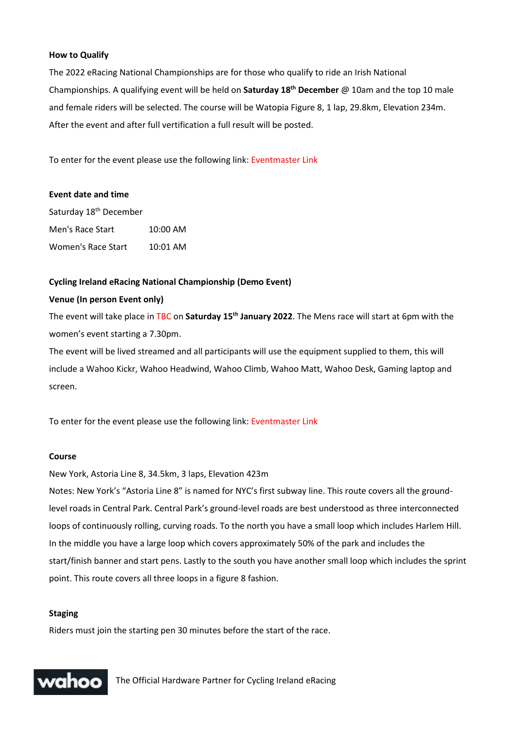## **How to Qualify**

The 2022 eRacing National Championships are for those who qualify to ride an Irish National Championships. A qualifying event will be held on **Saturday 18th December** @ 10am and the top 10 male and female riders will be selected. The course will be Watopia Figure 8, 1 lap, 29.8km, Elevation 234m. After the event and after full vertification a full result will be posted.

To enter for the event please use the following link: Eventmaster Link

#### **Event date and time**

Saturday 18<sup>th</sup> December Men's Race Start 10:00 AM Women's Race Start 10:01 AM

#### **Cycling Ireland eRacing National Championship (Demo Event)**

# **Venue (In person Event only)**

The event will take place in TBC on **Saturday 15th January 2022**. The Mens race will start at 6pm with the women's event starting a 7.30pm.

The event will be lived streamed and all participants will use the equipment supplied to them, this will include a Wahoo Kickr, Wahoo Headwind, Wahoo Climb, Wahoo Matt, Wahoo Desk, Gaming laptop and screen.

To enter for the event please use the following link: Eventmaster Link

#### **Course**

New York, Astoria Line 8, 34.5km, 3 laps, Elevation 423m

Notes: New York's "Astoria Line 8" is named for NYC's first subway line. This route covers all the groundlevel roads in Central Park. Central Park's ground-level roads are best understood as three interconnected loops of continuously rolling, curving roads. To the north you have a small loop which includes Harlem Hill. In the middle you have a large loop which covers approximately 50% of the park and includes the start/finish banner and start pens. Lastly to the south you have another small loop which includes the sprint point. This route covers all three loops in a figure 8 fashion.

#### **Staging**

Riders must join the starting pen 30 minutes before the start of the race.

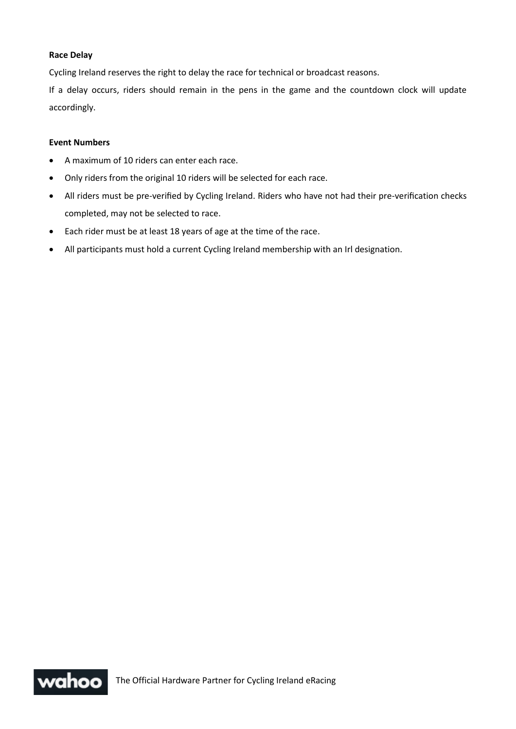# **Race Delay**

Cycling Ireland reserves the right to delay the race for technical or broadcast reasons.

If a delay occurs, riders should remain in the pens in the game and the countdown clock will update accordingly.

#### **Event Numbers**

- A maximum of 10 riders can enter each race.
- Only riders from the original 10 riders will be selected for each race.
- All riders must be pre-verified by Cycling Ireland. Riders who have not had their pre-verification checks completed, may not be selected to race.
- Each rider must be at least 18 years of age at the time of the race.
- All participants must hold a current Cycling Ireland membership with an Irl designation.